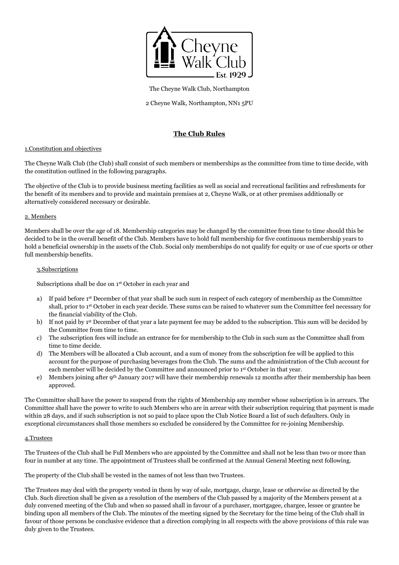

The Cheyne Walk Club, Northampton

2 Cheyne Walk, Northampton, NN1 5PU

# **The Club Rules**

# 1.Constitution and objectives

The Cheyne Walk Club (the Club) shall consist of such members or memberships as the committee from time to time decide, with the constitution outlined in the following paragraphs.

The objective of the Club is to provide business meeting facilities as well as social and recreational facilities and refreshments for the benefit of its members and to provide and maintain premises at 2, Cheyne Walk, or at other premises additionally or alternatively considered necessary or desirable.

# 2. Members

Members shall be over the age of 18. Membership categories may be changed by the committee from time to time should this be decided to be in the overall benefit of the Club. Members have to hold full membership for five continuous membership years to hold a beneficial ownership in the assets of the Club. Social only memberships do not qualify for equity or use of cue sports or other full membership benefits.

# 3.Subscriptions

Subscriptions shall be due on 1<sup>st</sup> October in each year and

- a) If paid before 1st December of that year shall be such sum in respect of each category of membership as the Committee shall, prior to 1st October in each year decide. These sums can be raised to whatever sum the Committee feel necessary for the financial viability of the Club.
- b) If not paid by 1st December of that year a late payment fee may be added to the subscription. This sum will be decided by the Committee from time to time.
- c) The subscription fees will include an entrance fee for membership to the Club in such sum as the Committee shall from time to time decide.
- d) The Members will be allocated a Club account, and a sum of money from the subscription fee will be applied to this account for the purpose of purchasing beverages from the Club. The sums and the administration of the Club account for each member will be decided by the Committee and announced prior to 1st October in that year.
- e) Members joining after 9th January 2017 will have their membership renewals 12 months after their membership has been approved.

The Committee shall have the power to suspend from the rights of Membership any member whose subscription is in arrears. The Committee shall have the power to write to such Members who are in arrear with their subscription requiring that payment is made within 28 days, and if such subscription is not so paid to place upon the Club Notice Board a list of such defaulters. Only in exceptional circumstances shall those members so excluded be considered by the Committee for re-joining Membership.

# 4.Trustees

The Trustees of the Club shall be Full Members who are appointed by the Committee and shall not be less than two or more than four in number at any time. The appointment of Trustees shall be confirmed at the Annual General Meeting next following.

The property of the Club shall be vested in the names of not less than two Trustees.

The Trustees may deal with the property vested in them by way of sale, mortgage, charge, lease or otherwise as directed by the Club. Such direction shall be given as a resolution of the members of the Club passed by a majority of the Members present at a duly convened meeting of the Club and when so passed shall in favour of a purchaser, mortgagee, chargee, lessee or grantee be binding upon all members of the Club. The minutes of the meeting signed by the Secretary for the time being of the Club shall in favour of those persons be conclusive evidence that a direction complying in all respects with the above provisions of this rule was duly given to the Trustees.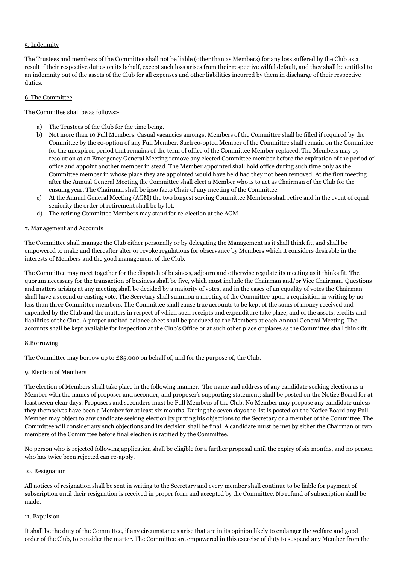# 5. Indemnity

The Trustees and members of the Committee shall not be liable (other than as Members) for any loss suffered by the Club as a result if their respective duties on its behalf, except such loss arises from their respective wilful default, and they shall be entitled to an indemnity out of the assets of the Club for all expenses and other liabilities incurred by them in discharge of their respective duties.

# 6. The Committee

The Committee shall be as follows:-

- a) The Trustees of the Club for the time being.
- b) Not more than 10 Full Members. Casual vacancies amongst Members of the Committee shall be filled if required by the Committee by the co-option of any Full Member. Such co-opted Member of the Committee shall remain on the Committee for the unexpired period that remains of the term of office of the Committee Member replaced. The Members may by resolution at an Emergency General Meeting remove any elected Committee member before the expiration of the period of office and appoint another member in stead. The Member appointed shall hold office during such time only as the Committee member in whose place they are appointed would have held had they not been removed. At the first meeting after the Annual General Meeting the Committee shall elect a Member who is to act as Chairman of the Club for the ensuing year. The Chairman shall be ipso facto Chair of any meeting of the Committee.
- c) At the Annual General Meeting (AGM) the two longest serving Committee Members shall retire and in the event of equal seniority the order of retirement shall be by lot.
- d) The retiring Committee Members may stand for re-election at the AGM.

### 7. Management and Accounts

The Committee shall manage the Club either personally or by delegating the Management as it shall think fit, and shall be empowered to make and thereafter alter or revoke regulations for observance by Members which it considers desirable in the interests of Members and the good management of the Club.

The Committee may meet together for the dispatch of business, adjourn and otherwise regulate its meeting as it thinks fit. The quorum necessary for the transaction of business shall be five, which must include the Chairman and/or Vice Chairman. Questions and matters arising at any meeting shall be decided by a majority of votes, and in the cases of an equality of votes the Chairman shall have a second or casting vote. The Secretary shall summon a meeting of the Committee upon a requisition in writing by no less than three Committee members. The Committee shall cause true accounts to be kept of the sums of money received and expended by the Club and the matters in respect of which such receipts and expenditure take place, and of the assets, credits and liabilities of the Club. A proper audited balance sheet shall be produced to the Members at each Annual General Meeting. The accounts shall be kept available for inspection at the Club's Office or at such other place or places as the Committee shall think fit.

### 8.Borrowing

The Committee may borrow up to £85,000 on behalf of, and for the purpose of, the Club.

### 9. Election of Members

The election of Members shall take place in the following manner. The name and address of any candidate seeking election as a Member with the names of proposer and seconder, and proposer's supporting statement; shall be posted on the Notice Board for at least seven clear days. Proposers and seconders must be Full Members of the Club. No Member may propose any candidate unless they themselves have been a Member for at least six months. During the seven days the list is posted on the Notice Board any Full Member may object to any candidate seeking election by putting his objections to the Secretary or a member of the Committee. The Committee will consider any such objections and its decision shall be final. A candidate must be met by either the Chairman or two members of the Committee before final election is ratified by the Committee.

No person who is rejected following application shall be eligible for a further proposal until the expiry of six months, and no person who has twice been rejected can re-apply.

### 10. Resignation

All notices of resignation shall be sent in writing to the Secretary and every member shall continue to be liable for payment of subscription until their resignation is received in proper form and accepted by the Committee. No refund of subscription shall be made.

### 11. Expulsion

It shall be the duty of the Committee, if any circumstances arise that are in its opinion likely to endanger the welfare and good order of the Club, to consider the matter. The Committee are empowered in this exercise of duty to suspend any Member from the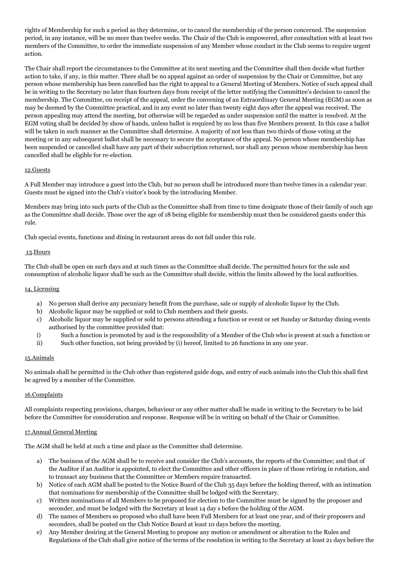rights of Membership for such a period as they determine, or to cancel the membership of the person concerned. The suspension period, in any instance, will be no more than twelve weeks. The Chair of the Club is empowered, after consultation with at least two members of the Committee, to order the immediate suspension of any Member whose conduct in the Club seems to require urgent action.

The Chair shall report the circumstances to the Committee at its next meeting and the Committee shall then decide what further action to take, if any, in this matter. There shall be no appeal against an order of suspension by the Chair or Committee, but any person whose membership has been cancelled has the right to appeal to a General Meeting of Members. Notice of such appeal shall be in writing to the Secretary no later than fourteen days from receipt of the letter notifying the Committee's decision to cancel the membership. The Committee, on receipt of the appeal, order the convening of an Extraordinary General Meeting (EGM) as soon as may be deemed by the Committee practical, and in any event no later than twenty eight days after the appeal was received. The person appealing may attend the meeting, but otherwise will be regarded as under suspension until the matter is resolved. At the EGM voting shall be decided by show of hands, unless ballot is required by no less than five Members present. In this case a ballot will be taken in such manner as the Committee shall determine. A majority of not less than two thirds of those voting at the meeting or in any subsequent ballot shall be necessary to secure the acceptance of the appeal. No person whose membership has been suspended or cancelled shall have any part of their subscription returned, nor shall any person whose membership has been cancelled shall be eligible for re-election.

# 12.Guests

A Full Member may introduce a guest into the Club, but no person shall be introduced more than twelve times in a calendar year. Guests must be signed into the Club's visitor's book by the introducing Member.

Members may bring into such parts of the Club as the Committee shall from time to time designate those of their family of such age as the Committee shall decide. Those over the age of 18 being eligible for membership must then be considered guests under this rule.

Club special events, functions and dining in restaurant areas do not fall under this rule.

# 13.Hours

The Club shall be open on such days and at such times as the Committee shall decide. The permitted hours for the sale and consumption of alcoholic liquor shall be such as the Committee shall decide, within the limits allowed by the local authorities.

# 14. Licensing

- a) No person shall derive any pecuniary benefit from the purchase, sale or supply of alcoholic liquor by the Club.
- b) Alcoholic liquor may be supplied or sold to Club members and their guests.
- c) Alcoholic liquor may be supplied or sold to persons attending a function or event or set Sunday or Saturday dining events authorised by the committee provided that:
- i) Such a function is promoted by and is the responsibility of a Member of the Club who is present at such a function or
- ii) Such other function, not being provided by (i) hereof, limited to 26 functions in any one year.

# 15.Animals

No animals shall be permitted in the Club other than registered guide dogs, and entry of such animals into the Club this shall first be agreed by a member of the Committee.

# 16.Complaints

All complaints respecting provisions, charges, behaviour or any other matter shall be made in writing to the Secretary to be laid before the Committee for consideration and response. Response will be in writing on behalf of the Chair or Committee.

# 17.Annual General Meeting

The AGM shall be held at such a time and place as the Committee shall determine.

- a) The business of the AGM shall be to receive and consider the Club's accounts, the reports of the Committee; and that of the Auditor if an Auditor is appointed, to elect the Committee and other officers in place of those retiring in rotation, and to transact any business that the Committee or Members require transacted.
- b) Notice of each AGM shall be posted to the Notice Board of the Club 35 days before the holding thereof, with an intimation that nominations for membership of the Committee shall be lodged with the Secretary.
- c) Written nominations of all Members to be proposed for election to the Committee must be signed by the proposer and seconder, and must be lodged with the Secretary at least 14 day s before the holding of the AGM.
- d) The names of Members so proposed who shall have been Full Members for at least one year, and of their proposers and seconders, shall be posted on the Club Notice Board at least 10 days before the meeting.
- e) Any Member desiring at the General Meeting to propose any motion or amendment or alteration to the Rules and Regulations of the Club shall give notice of the terms of the resolution in writing to the Secretary at least 21 days before the